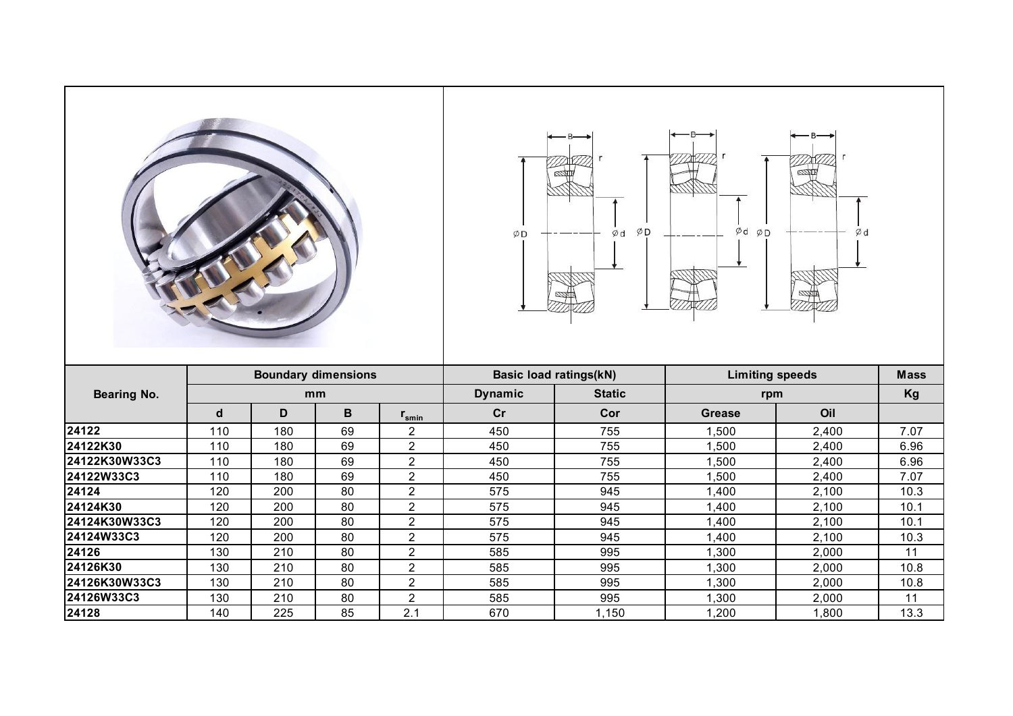| <b>Boundary dimensions</b><br><b>Basic load ratings(kN)</b><br><b>Limiting speeds</b><br><b>Mass</b><br>Kg<br><b>Static</b><br><b>Bearing No.</b><br><b>Dynamic</b><br>mm<br>rpm<br>D<br>B<br>cr<br>Cor<br>Oil<br>d<br><b>Grease</b><br>$r_{\text{smin}}$<br>24122<br>110<br>69<br>$\overline{c}$<br>755<br>7.07<br>180<br>450<br>1,500<br>2,400<br>24122K30<br>$\overline{2}$<br>110<br>180<br>69<br>450<br>755<br>6.96<br>1,500<br>2,400<br>69<br>$\overline{2}$<br>24122K30W33C3<br>110<br>180<br>450<br>755<br>1,500<br>2,400<br>6.96<br>$\overline{2}$<br>69<br>24122W33C3<br>110<br>180<br>450<br>755<br>1,500<br>7.07<br>2,400<br>24124<br>120<br>200<br>80<br>$\overline{2}$<br>575<br>945<br>1,400<br>2,100<br>10.3<br>24124K30<br>$\overline{2}$<br>120<br>200<br>80<br>575<br>945<br>10.1<br>1,400<br>2,100<br>$\overline{2}$<br>120<br>200<br>80<br>575<br>945<br>1,400<br>2,100<br>10.1<br>2<br>120<br>200<br>80<br>575<br>945<br>1,400<br>2,100<br>10.3<br>585<br>995<br>130<br>210<br>80<br>$\overline{2}$<br>1,300<br>2,000<br>11<br>210<br>$\overline{2}$<br>130<br>80<br>585<br>1,300<br>2,000<br>10.8<br>995<br>210<br>$\overline{2}$<br>130<br>80<br>585<br>995<br>1,300<br>2,000<br>10.8<br>$\overline{2}$<br>210<br>80<br>585<br>995<br>130<br>1,300<br>2,000<br>11<br>225<br>85<br>140<br>2.1<br>670<br>1,150<br>1,200<br>1,800<br>13.3 |               |  |  | ØD | ØD<br>Ød | $\emptyset$ d<br>ØD<br>Ød |  |  |  |  |
|----------------------------------------------------------------------------------------------------------------------------------------------------------------------------------------------------------------------------------------------------------------------------------------------------------------------------------------------------------------------------------------------------------------------------------------------------------------------------------------------------------------------------------------------------------------------------------------------------------------------------------------------------------------------------------------------------------------------------------------------------------------------------------------------------------------------------------------------------------------------------------------------------------------------------------------------------------------------------------------------------------------------------------------------------------------------------------------------------------------------------------------------------------------------------------------------------------------------------------------------------------------------------------------------------------------------------------------------------------------|---------------|--|--|----|----------|---------------------------|--|--|--|--|
|                                                                                                                                                                                                                                                                                                                                                                                                                                                                                                                                                                                                                                                                                                                                                                                                                                                                                                                                                                                                                                                                                                                                                                                                                                                                                                                                                                |               |  |  |    |          |                           |  |  |  |  |
|                                                                                                                                                                                                                                                                                                                                                                                                                                                                                                                                                                                                                                                                                                                                                                                                                                                                                                                                                                                                                                                                                                                                                                                                                                                                                                                                                                |               |  |  |    |          |                           |  |  |  |  |
|                                                                                                                                                                                                                                                                                                                                                                                                                                                                                                                                                                                                                                                                                                                                                                                                                                                                                                                                                                                                                                                                                                                                                                                                                                                                                                                                                                |               |  |  |    |          |                           |  |  |  |  |
|                                                                                                                                                                                                                                                                                                                                                                                                                                                                                                                                                                                                                                                                                                                                                                                                                                                                                                                                                                                                                                                                                                                                                                                                                                                                                                                                                                |               |  |  |    |          |                           |  |  |  |  |
|                                                                                                                                                                                                                                                                                                                                                                                                                                                                                                                                                                                                                                                                                                                                                                                                                                                                                                                                                                                                                                                                                                                                                                                                                                                                                                                                                                |               |  |  |    |          |                           |  |  |  |  |
|                                                                                                                                                                                                                                                                                                                                                                                                                                                                                                                                                                                                                                                                                                                                                                                                                                                                                                                                                                                                                                                                                                                                                                                                                                                                                                                                                                |               |  |  |    |          |                           |  |  |  |  |
|                                                                                                                                                                                                                                                                                                                                                                                                                                                                                                                                                                                                                                                                                                                                                                                                                                                                                                                                                                                                                                                                                                                                                                                                                                                                                                                                                                |               |  |  |    |          |                           |  |  |  |  |
|                                                                                                                                                                                                                                                                                                                                                                                                                                                                                                                                                                                                                                                                                                                                                                                                                                                                                                                                                                                                                                                                                                                                                                                                                                                                                                                                                                |               |  |  |    |          |                           |  |  |  |  |
|                                                                                                                                                                                                                                                                                                                                                                                                                                                                                                                                                                                                                                                                                                                                                                                                                                                                                                                                                                                                                                                                                                                                                                                                                                                                                                                                                                |               |  |  |    |          |                           |  |  |  |  |
|                                                                                                                                                                                                                                                                                                                                                                                                                                                                                                                                                                                                                                                                                                                                                                                                                                                                                                                                                                                                                                                                                                                                                                                                                                                                                                                                                                | 24124K30W33C3 |  |  |    |          |                           |  |  |  |  |
|                                                                                                                                                                                                                                                                                                                                                                                                                                                                                                                                                                                                                                                                                                                                                                                                                                                                                                                                                                                                                                                                                                                                                                                                                                                                                                                                                                | 24124W33C3    |  |  |    |          |                           |  |  |  |  |
|                                                                                                                                                                                                                                                                                                                                                                                                                                                                                                                                                                                                                                                                                                                                                                                                                                                                                                                                                                                                                                                                                                                                                                                                                                                                                                                                                                | 24126         |  |  |    |          |                           |  |  |  |  |
|                                                                                                                                                                                                                                                                                                                                                                                                                                                                                                                                                                                                                                                                                                                                                                                                                                                                                                                                                                                                                                                                                                                                                                                                                                                                                                                                                                | 24126K30      |  |  |    |          |                           |  |  |  |  |
|                                                                                                                                                                                                                                                                                                                                                                                                                                                                                                                                                                                                                                                                                                                                                                                                                                                                                                                                                                                                                                                                                                                                                                                                                                                                                                                                                                | 24126K30W33C3 |  |  |    |          |                           |  |  |  |  |
|                                                                                                                                                                                                                                                                                                                                                                                                                                                                                                                                                                                                                                                                                                                                                                                                                                                                                                                                                                                                                                                                                                                                                                                                                                                                                                                                                                | 24126W33C3    |  |  |    |          |                           |  |  |  |  |
|                                                                                                                                                                                                                                                                                                                                                                                                                                                                                                                                                                                                                                                                                                                                                                                                                                                                                                                                                                                                                                                                                                                                                                                                                                                                                                                                                                | 24128         |  |  |    |          |                           |  |  |  |  |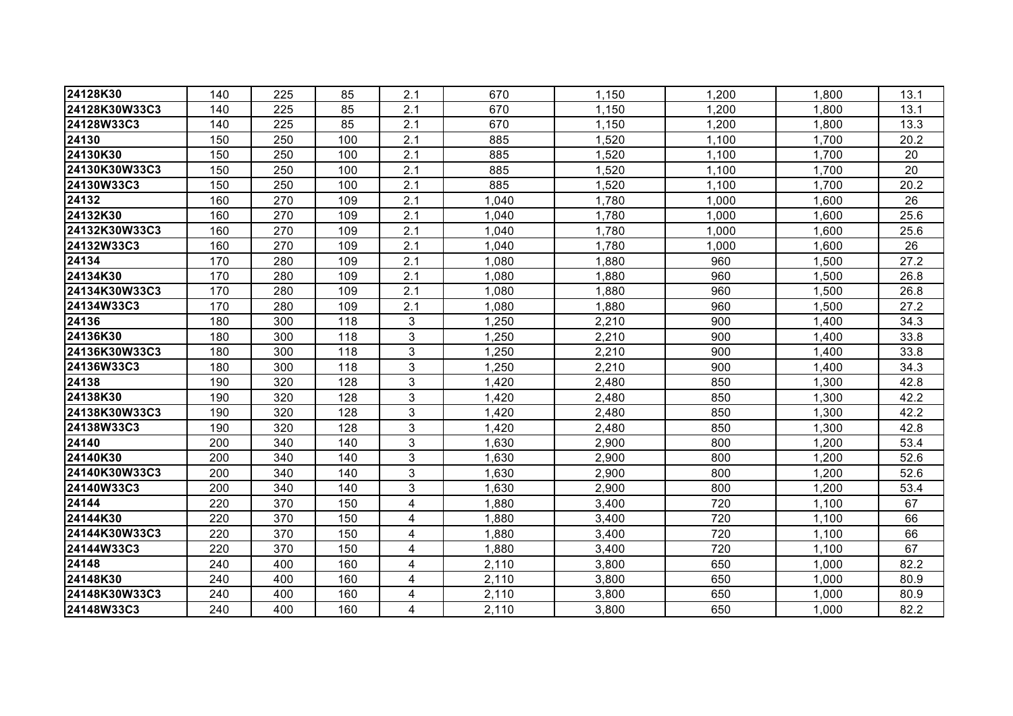| 24128K30      | 140 | 225 | 85  | 2.1            | 670   | 1,150 | 1,200 | 1,800 | 13.1 |
|---------------|-----|-----|-----|----------------|-------|-------|-------|-------|------|
| 24128K30W33C3 | 140 | 225 | 85  | 2.1            | 670   | 1,150 | 1,200 | 1,800 | 13.1 |
| 24128W33C3    | 140 | 225 | 85  | 2.1            | 670   | 1,150 | 1,200 | 1,800 | 13.3 |
| 24130         | 150 | 250 | 100 | 2.1            | 885   | 1,520 | 1,100 | 1,700 | 20.2 |
| 24130K30      | 150 | 250 | 100 | 2.1            | 885   | 1,520 | 1,100 | 1,700 | 20   |
| 24130K30W33C3 | 150 | 250 | 100 | 2.1            | 885   | 1,520 | 1,100 | 1,700 | 20   |
| 24130W33C3    | 150 | 250 | 100 | 2.1            | 885   | 1,520 | 1,100 | 1,700 | 20.2 |
| 24132         | 160 | 270 | 109 | 2.1            | 1,040 | 1,780 | 1,000 | 1,600 | 26   |
| 24132K30      | 160 | 270 | 109 | 2.1            | 1,040 | 1,780 | 1,000 | 1,600 | 25.6 |
| 24132K30W33C3 | 160 | 270 | 109 | 2.1            | 1,040 | 1,780 | 1,000 | 1,600 | 25.6 |
| 24132W33C3    | 160 | 270 | 109 | 2.1            | 1,040 | 1,780 | 1,000 | 1,600 | 26   |
| 24134         | 170 | 280 | 109 | 2.1            | 1,080 | 1,880 | 960   | 1,500 | 27.2 |
| 24134K30      | 170 | 280 | 109 | 2.1            | 1,080 | 1,880 | 960   | 1,500 | 26.8 |
| 24134K30W33C3 | 170 | 280 | 109 | 2.1            | 1,080 | 1,880 | 960   | 1,500 | 26.8 |
| 24134W33C3    | 170 | 280 | 109 | 2.1            | 1,080 | 1,880 | 960   | 1,500 | 27.2 |
| 24136         | 180 | 300 | 118 | 3              | 1,250 | 2,210 | 900   | 1,400 | 34.3 |
| 24136K30      | 180 | 300 | 118 | 3              | 1,250 | 2,210 | 900   | 1,400 | 33.8 |
| 24136K30W33C3 | 180 | 300 | 118 | 3              | 1,250 | 2,210 | 900   | 1,400 | 33.8 |
| 24136W33C3    | 180 | 300 | 118 | 3              | 1,250 | 2,210 | 900   | 1,400 | 34.3 |
| 24138         | 190 | 320 | 128 | 3              | 1,420 | 2,480 | 850   | 1,300 | 42.8 |
| 24138K30      | 190 | 320 | 128 | 3              | 1,420 | 2,480 | 850   | 1,300 | 42.2 |
| 24138K30W33C3 | 190 | 320 | 128 | 3              | 1,420 | 2,480 | 850   | 1,300 | 42.2 |
| 24138W33C3    | 190 | 320 | 128 | $\mathfrak{S}$ | 1,420 | 2,480 | 850   | 1,300 | 42.8 |
| 24140         | 200 | 340 | 140 | 3              | 1,630 | 2,900 | 800   | 1,200 | 53.4 |
| 24140K30      | 200 | 340 | 140 | 3              | 1,630 | 2,900 | 800   | 1,200 | 52.6 |
| 24140K30W33C3 | 200 | 340 | 140 | 3              | 1,630 | 2,900 | 800   | 1,200 | 52.6 |
| 24140W33C3    | 200 | 340 | 140 | 3              | 1,630 | 2,900 | 800   | 1,200 | 53.4 |
| 24144         | 220 | 370 | 150 | 4              | 1,880 | 3,400 | 720   | 1,100 | 67   |
| 24144K30      | 220 | 370 | 150 | $\overline{4}$ | 1,880 | 3,400 | 720   | 1,100 | 66   |
| 24144K30W33C3 | 220 | 370 | 150 | 4              | 1,880 | 3,400 | 720   | 1,100 | 66   |
| 24144W33C3    | 220 | 370 | 150 | $\overline{4}$ | 1,880 | 3,400 | 720   | 1,100 | 67   |
| 24148         | 240 | 400 | 160 | 4              | 2,110 | 3,800 | 650   | 1,000 | 82.2 |
| 24148K30      | 240 | 400 | 160 | 4              | 2,110 | 3,800 | 650   | 1,000 | 80.9 |
| 24148K30W33C3 | 240 | 400 | 160 | 4              | 2,110 | 3,800 | 650   | 1,000 | 80.9 |
| 24148W33C3    | 240 | 400 | 160 | 4              | 2,110 | 3,800 | 650   | 1,000 | 82.2 |
|               |     |     |     |                |       |       |       |       |      |